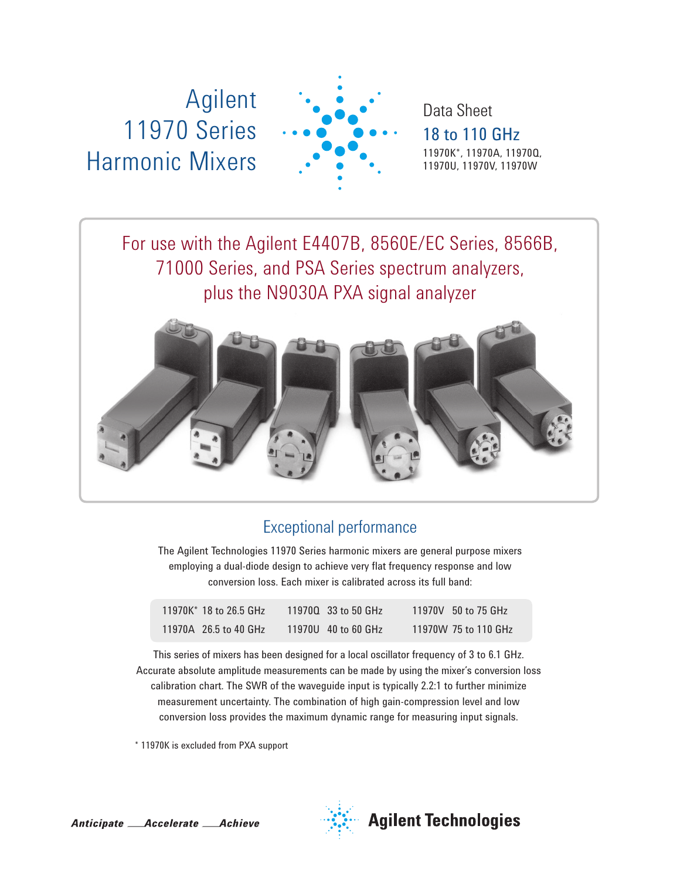# Agilent 11970 Series Harmonic Mixers



Data Sheet 18 to 110 GHz 11970K\*, 11970A, 11970Q, 11970U, 11970V, 11970W

For use with the Agilent E4407B, 8560E/EC Series, 8566B, 71000 Series, and PSA Series spectrum analyzers, plus the N9030A PXA signal analyzer



# Exceptional performance

The Agilent Technologies 11970 Series harmonic mixers are general purpose mixers employing a dual-diode design to achieve very flat frequency response and low conversion loss. Each mixer is calibrated across its full band:

| 11970K* 18 to 26.5 GHz | 119700 33 to 50 GHz | 11970V 50 to 75 GHz  |
|------------------------|---------------------|----------------------|
| 11970A 26.5 to 40 GHz  | 11970U 40 to 60 GHz | 11970W 75 to 110 GHz |

This series of mixers has been designed for a local oscillator frequency of 3 to 6.1 GHz. Accurate absolute amplitude measurements can be made by using the mixer's conversion loss calibration chart. The SWR of the waveguide input is typically 2.2:1 to further minimize measurement uncertainty. The combination of high gain-compression level and low conversion loss provides the maximum dynamic range for measuring input signals.

\* 11970K is excluded from PXA support

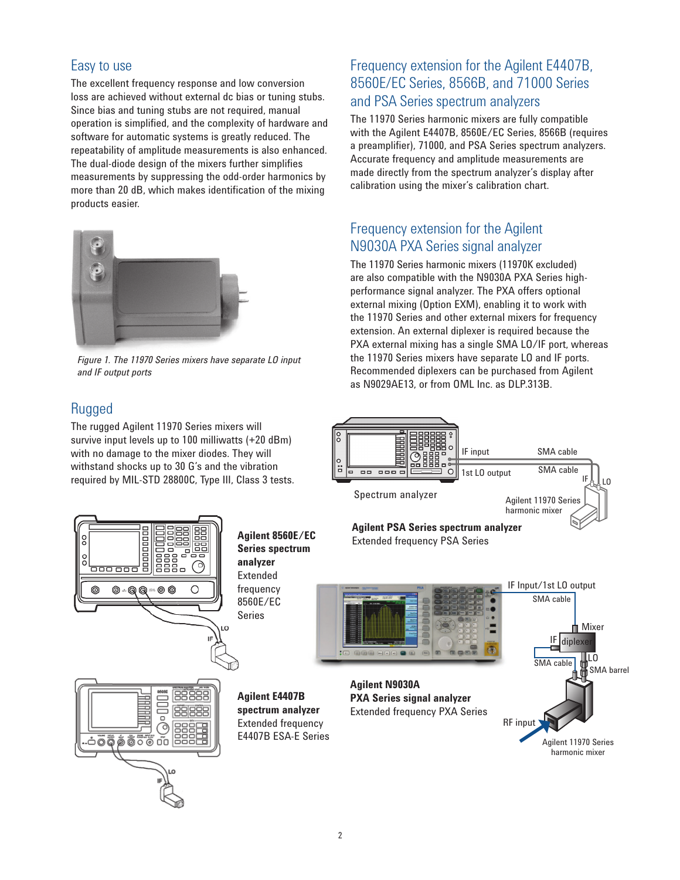### Easy to use

The excellent frequency response and low conversion loss are achieved without external dc bias or tuning stubs. Since bias and tuning stubs are not required, manual operation is simplified, and the complexity of hardware and software for automatic systems is greatly reduced. The repeatability of amplitude measurements is also enhanced. The dual-diode design of the mixers further simplifies measurements by suppressing the odd-order harmonics by more than 20 dB, which makes identification of the mixing products easier.



*Figure 1. The 11970 Series mixers have separate LO input and IF output ports*

### Rugged

°

The rugged Agilent 11970 Series mixers will survive input levels up to 100 milliwatts (+20 dBm) with no damage to the mixer diodes. They will withstand shocks up to 30 G's and the vibration required by MIL-STD 28800C, Type III, Class 3 tests.

### Frequency extension for the Agilent E4407B, 8560E/EC Series, 8566B, and 71000 Series and PSA Series spectrum analyzers

The 11970 Series harmonic mixers are fully compatible with the Agilent E4407B, 8560E/EC Series, 8566B (requires a preamplifier), 71000, and PSA Series spectrum analyzers. Accurate frequency and amplitude measurements are made directly from the spectrum analyzer's display after calibration using the mixer's calibration chart.

## Frequency extension for the Agilent N9030A PXA Series signal analyzer

The 11970 Series harmonic mixers (11970K excluded) are also compatible with the N9030A PXA Series highperformance signal analyzer. The PXA offers optional external mixing (Option EXM), enabling it to work with the 11970 Series and other external mixers for frequency extension. An external diplexer is required because the PXA external mixing has a single SMA LO/IF port, whereas the 11970 Series mixers have separate LO and IF ports. Recommended diplexers can be purchased from Agilent as N9029AE13, or from OML Inc. as DLP.313B.



### **Agilent PSA Series spectrum analyzer** Extended frequency PSA Series









appopuo

<u>aoo ooo</u>

0)

Ο

**Agilent E4407B spectrum analyzer** Extended frequency E4407B ESA-E Series

**Agilent 8560E/EC Series spectrum** 

**analyzer** Extended frequency 8560E/EC Series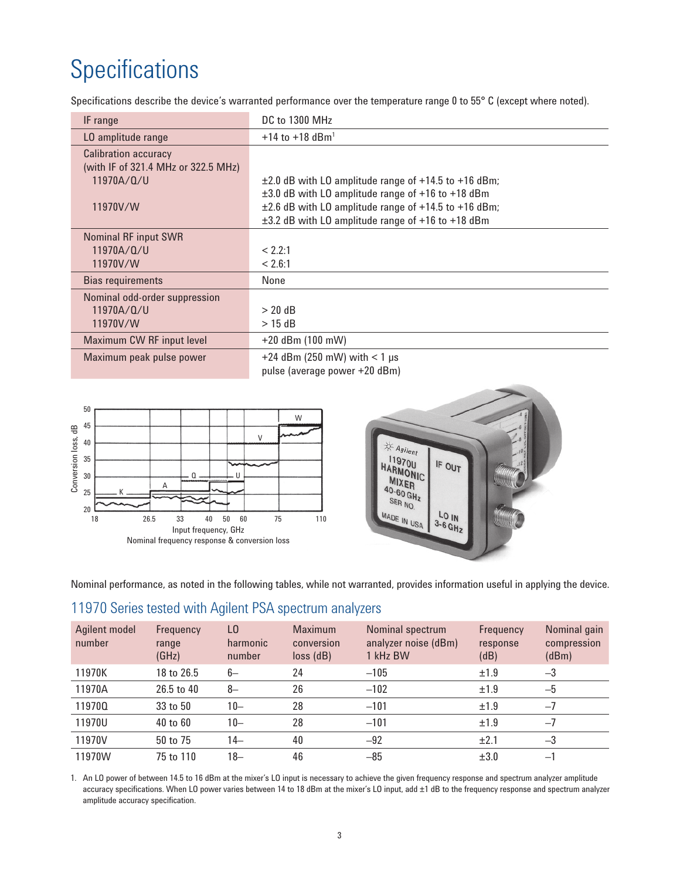# **Specifications**

Specifications describe the device's warranted performance over the temperature range 0 to 55° C (except where noted).

| IF range                            | DC to 1300 MHz                                                |
|-------------------------------------|---------------------------------------------------------------|
| LO amplitude range                  | $+14$ to $+18$ dBm <sup>1</sup>                               |
| <b>Calibration accuracy</b>         |                                                               |
| (with IF of 321.4 MHz or 322.5 MHz) |                                                               |
| 11970A/Q/U                          | $\pm 2.0$ dB with LO amplitude range of $+14.5$ to $+16$ dBm; |
|                                     | $\pm 3.0$ dB with LO amplitude range of +16 to +18 dBm        |
| 11970V/W                            | $\pm 2.6$ dB with LO amplitude range of +14.5 to +16 dBm;     |
|                                     | $\pm$ 3.2 dB with LO amplitude range of +16 to +18 dBm        |
| <b>Nominal RF input SWR</b>         |                                                               |
| 11970A/Q/U                          | < 2.2:1                                                       |
| 11970V/W                            | < 2.6:1                                                       |
| <b>Bias requirements</b>            | None                                                          |
| Nominal odd-order suppression       |                                                               |
| 11970A/Q/U                          | $> 20$ dB                                                     |
| 11970V/W                            | $>$ 15 dB                                                     |
| Maximum CW RF input level           | $+20$ dBm (100 mW)                                            |
| Maximum peak pulse power            | +24 dBm (250 mW) with $<$ 1 µs                                |
|                                     | pulse (average power +20 dBm)                                 |
|                                     |                                                               |





Nominal performance, as noted in the following tables, while not warranted, provides information useful in applying the device.

# 11970 Series tested with Agilent PSA spectrum analyzers

| Agilent model<br>number | Frequency<br>range<br>(GHz) | L0<br>harmonic<br>number | <b>Maximum</b><br>conversion<br>$loss$ ( $dB$ ) | Nominal spectrum<br>analyzer noise (dBm)<br>1 kHz BW | Frequency<br>response<br>(dB) | Nominal gain<br>compression<br>(dBm) |
|-------------------------|-----------------------------|--------------------------|-------------------------------------------------|------------------------------------------------------|-------------------------------|--------------------------------------|
| 11970K                  | 18 to 26.5                  | $6-$                     | 24                                              | $-105$                                               | ±1.9                          | $-3$                                 |
| 11970A                  | 26.5 to 40                  | $8-$                     | 26                                              | $-102$                                               | ±1.9                          | $-5$                                 |
| 119700                  | 33 to 50                    | $10 -$                   | 28                                              | $-101$                                               | ±1.9                          | $-7$                                 |
| 11970U                  | 40 to 60                    | $10 -$                   | 28                                              | $-101$                                               | ±1.9                          | $-7$                                 |
| 11970V                  | 50 to 75                    | 14–                      | 40                                              | $-92$                                                | ±2.1                          | $-3$                                 |
| 11970W                  | 75 to 110                   | $18 -$                   | 46                                              | $-85$                                                | $\pm 3.0$                     | $-1$                                 |

1. An LO power of between 14.5 to 16 dBm at the mixer's LO input is necessary to achieve the given frequency response and spectrum analyzer amplitude accuracy specifications. When LO power varies between 14 to 18 dBm at the mixer's LO input, add ±1 dB to the frequency response and spectrum analyzer amplitude accuracy specification.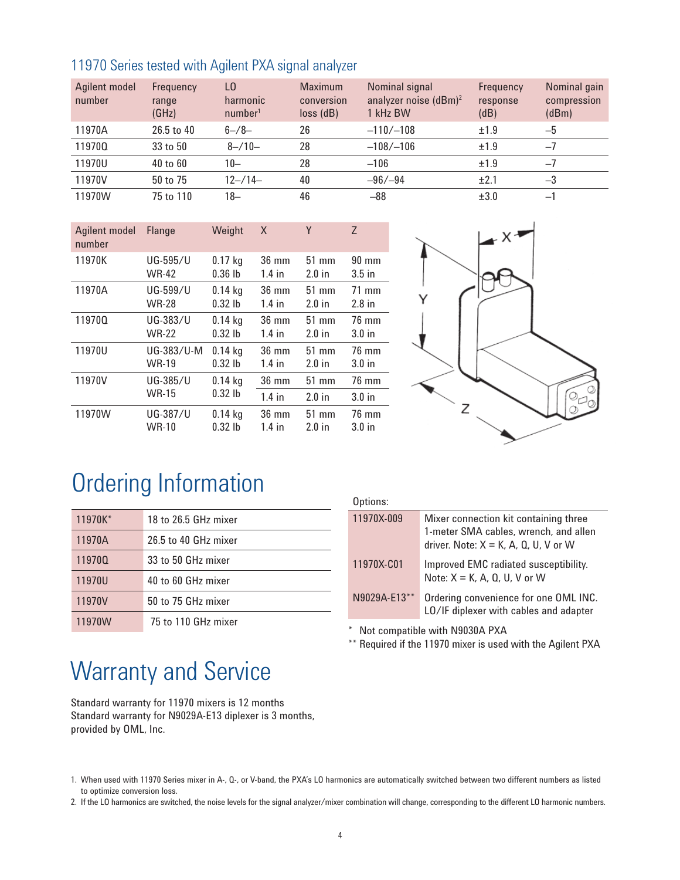| 11970 Series tested with Agilent PXA signal analyzer |  |  |
|------------------------------------------------------|--|--|
|------------------------------------------------------|--|--|

| Agilent model<br>number | Frequency<br>range<br>(GHz) | LO.<br>harmonic<br>number <sup>1</sup> | <b>Maximum</b><br>conversion<br>$loss$ ( $dB$ ) | Nominal signal<br>analyzer noise $(dBm)^2$<br>1 kHz BW | Frequency<br>response<br>(dB) | Nominal gain<br>compression<br>(dBm) |
|-------------------------|-----------------------------|----------------------------------------|-------------------------------------------------|--------------------------------------------------------|-------------------------------|--------------------------------------|
| 11970A                  | 26.5 to 40                  | $6 - 78 -$                             | 26                                              | $-110/-108$                                            | ±1.9                          | $-5$                                 |
| 119700                  | 33 to 50                    | $8 - 10 -$                             | 28                                              | $-108/-106$                                            | ±1.9                          | $-7$                                 |
| 11970U                  | 40 to 60                    | $10 -$                                 | 28                                              | $-106$                                                 | ±1.9                          | $-7$                                 |
| 11970V                  | 50 to 75                    | $12 - 114 -$                           | 40                                              | $-96/ -94$                                             | ±2.1                          | $-3$                                 |
| 11970W                  | 75 to 110                   | 18-                                    | 46                                              | $-88$                                                  | $\pm 3.0$                     | $-1$                                 |

| Agilent model<br>number | <b>Flange</b> | Weight    | X               | Y        | $\overline{z}$    |
|-------------------------|---------------|-----------|-----------------|----------|-------------------|
| 11970K                  | UG-595/U      | $0.17$ kg | $36 \text{ mm}$ | $51$ mm  | $90 \text{ mm}$   |
|                         | <b>WR-42</b>  | $0.36$ lb | $1.4$ in        | $2.0$ in | $3.5$ in          |
| 11970A                  | UG-599/U      | $0.14$ kg | 36 mm           | $51$ mm  | $71 \text{ mm}$   |
|                         | <b>WR-28</b>  | $0.32$ lb | $1.4$ in        | $2.0$ in | $2.8$ in          |
| 119700                  | UG-383/U      | $0.14$ kg | $36 \text{ mm}$ | $51$ mm  | 76 mm             |
|                         | <b>WR-22</b>  | $0.32$ lb | $1.4$ in        | $2.0$ in | 3.0 <sub>in</sub> |
| 11970U                  | UG-383/U-M    | $0.14$ kg | $36 \text{ mm}$ | $51$ mm  | 76 mm             |
|                         | <b>WR-19</b>  | $0.32$ lb | $1.4$ in        | $2.0$ in | 3.0 <sub>in</sub> |
| 11970V                  | UG-385/U      | $0.14$ kg | 36 mm           | $51$ mm  | 76 mm             |
|                         | <b>WR-15</b>  | $0.32$ lb | $1.4$ in        | $2.0$ in | 3.0 <sub>in</sub> |
| 11970W                  | UG-387/U      | $0.14$ kg | $36 \text{ mm}$ | $51$ mm  | 76 mm             |
|                         | <b>WR-10</b>  | $0.32$ lb | $1.4$ in        | $2.0$ in | 3.0 <sub>in</sub> |



# Ordering Information

| 11970K* | 18 to 26.5 GHz mixer |
|---------|----------------------|
| 11970A  | 26.5 to 40 GHz mixer |
| 119700  | 33 to 50 GHz mixer   |
| 11970U  | 40 to 60 GHz mixer   |
| 11970V  | 50 to 75 GHz mixer   |
| 11970W  | 75 to 110 GHz mixer  |

| Options:                       |                                                                                                                                        |  |  |
|--------------------------------|----------------------------------------------------------------------------------------------------------------------------------------|--|--|
| 11970X-009                     | Mixer connection kit containing three<br>1-meter SMA cables, wrench, and allen<br>driver. Note: $X = K$ , $A$ , $D$ , $U$ , $V$ or $W$ |  |  |
| 11970X-C01                     | Improved EMC radiated susceptibility.<br>Note: $X = K$ , A, Q, U, V or W                                                               |  |  |
| N9029A-E13**                   | Ordering convenience for one OML INC.<br>LO/IF diplexer with cables and adapter                                                        |  |  |
| Not compatible with N0030A PYA |                                                                                                                                        |  |  |

Not compatible with N9030A PXA

\*\* Required if the 11970 mixer is used with the Agilent PXA

# Warranty and Service

Standard warranty for 11970 mixers is 12 months Standard warranty for N9029A-E13 diplexer is 3 months, provided by OML, Inc.

<sup>1.</sup> When used with 11970 Series mixer in A-, Q-, or V-band, the PXA's LO harmonics are automatically switched between two different numbers as listed to optimize conversion loss.

<sup>2.</sup> If the LO harmonics are switched, the noise levels for the signal analyzer/mixer combination will change, corresponding to the different LO harmonic numbers.